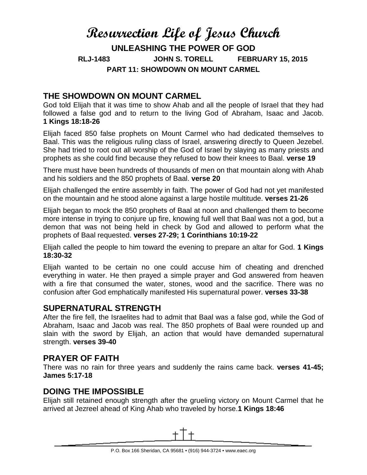# **Resurrection Life of Jesus Church**

**UNLEASHING THE POWER OF GOD RLJ-1483 JOHN S. TORELL FEBRUARY 15, 2015 PART 11: SHOWDOWN ON MOUNT CARMEL**

# **THE SHOWDOWN ON MOUNT CARMEL**

God told Elijah that it was time to show Ahab and all the people of Israel that they had followed a false god and to return to the living God of Abraham, Isaac and Jacob. **1 Kings 18:18-26**

Elijah faced 850 false prophets on Mount Carmel who had dedicated themselves to Baal. This was the religious ruling class of Israel, answering directly to Queen Jezebel. She had tried to root out all worship of the God of Israel by slaying as many priests and prophets as she could find because they refused to bow their knees to Baal. **verse 19**

There must have been hundreds of thousands of men on that mountain along with Ahab and his soldiers and the 850 prophets of Baal. **verse 20**

Elijah challenged the entire assembly in faith. The power of God had not yet manifested on the mountain and he stood alone against a large hostile multitude. **verses 21-26**

Elijah began to mock the 850 prophets of Baal at noon and challenged them to become more intense in trying to conjure up fire, knowing full well that Baal was not a god, but a demon that was not being held in check by God and allowed to perform what the prophets of Baal requested. **verses 27-29; 1 Corinthians 10:19-22**

Elijah called the people to him toward the evening to prepare an altar for God. **1 Kings 18:30-32**

Elijah wanted to be certain no one could accuse him of cheating and drenched everything in water. He then prayed a simple prayer and God answered from heaven with a fire that consumed the water, stones, wood and the sacrifice. There was no confusion after God emphatically manifested His supernatural power. **verses 33-38**

#### **SUPERNATURAL STRENGTH**

After the fire fell, the Israelites had to admit that Baal was a false god, while the God of Abraham, Isaac and Jacob was real. The 850 prophets of Baal were rounded up and slain with the sword by Elijah, an action that would have demanded supernatural strength. **verses 39-40**

## **PRAYER OF FAITH**

There was no rain for three years and suddenly the rains came back. **verses 41-45; James 5:17-18**

## **DOING THE IMPOSSIBLE**

Elijah still retained enough strength after the grueling victory on Mount Carmel that he arrived at Jezreel ahead of King Ahab who traveled by horse.**1 Kings 18:46**